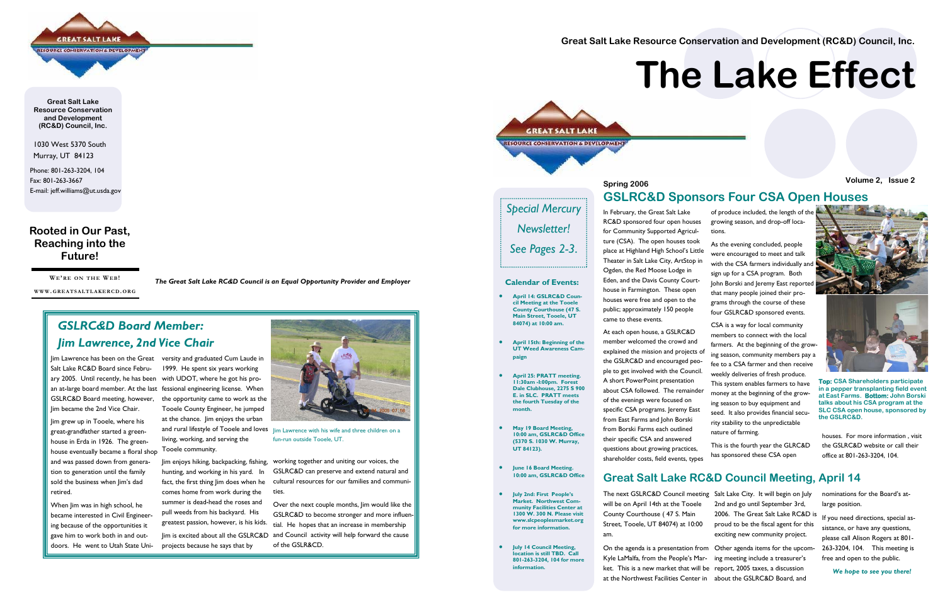1030 West 5370 South Murray, UT 84123

Phone: 801-263-3204, 104 Fax: 801-263-3667 E-mail: jeff.williams@ut.usda.gov

| <b>GREAT SALT LAKE</b>                     |  |
|--------------------------------------------|--|
| <b>RESOURCE CONSERVATION'S DEVELOPMENT</b> |  |
|                                            |  |

**Great Salt Lake Resource Conservation and Development (RC&D) Council, Inc.** 

#### **Rooted in Our Past, Reaching into the Future!**

**WE'R E O N THE WEB!** 

**WWW. GREATSALTLAKERCD. ORG**

*The Great Salt Lake RC&D Council is an Equal Opportunity Provider and Employer* 

## *GSLRC&D Board Member: Jim Lawrence, 2nd Vice Chair*

Salt Lake RC&D Board since February 2005. Until recently, he has been an at-large board member. At the last fessional engineering license. When GSLRC&D Board meeting, however, Jim became the 2nd Vice Chair.

Jim grew up in Tooele, where his great-grandfather started a greenhouse in Erda in 1926. The greenhouse eventually became a floral shop Tooele community. and was passed down from generation to generation until the family sold the business when Jim's dad retired.

When Jim was in high school, he became interested in Civil Engineering because of the opportunities it gave him to work both in and outdoors. He went to Utah State Uni-

Jim Lawrence has been on the Great versity and graduated Cum Laude in 1999. He spent six years working<br>with UDOT, where he got his pro-



The next GSLRC&D Council me will be on April 14th at the Tooe County Courthouse ( 47 S. Main Street, Tooele, UT 84074) at 10: am.

On the agenda is a presentation Kyle LaMalfa, from the People's ket. This is a new market that v at the Northwest Facilities Center in about the GSLRC&D Board, and ing meeting include a treasurer's report, 2005 taxes, a discussion

In February, the Great Salt Lake RC&D sponsored four open houses for Community Supported Agriculture (CSA). The open houses took place at Highland High School's Little Theater in Salt Lake City, ArtStop in Ogden, the Red Moose Lodge in Eden, and the Davis County Courthouse in Farmington. These open houses were free and open to the public; approximately 150 people came to these events.

fessional engineering license. When the opportunity came to work as the Tooele County Engineer, he jumped at the chance. Jim enjoys the urban and rural lifestyle of Tooele and loves living, working, and serving the Tooele community. Jim enjoys hiking, backpacking, fishing, hunting, and working in his yard. In fact, the first thing Jim does when he comes home from work during the summer is dead-head the roses and pull weeds from his backyard. His greatest passion, however, is his kids. Jim is excited about all the GSLRC&D projects because he says that by working together and uniting our voices, the GSLRC&D can preserve and extend natural and cultural resources for our families and communi- ties. Over the next couple months, Jim would like the GSLRC&D to become stronger and more influen- tial. He hopes that an increase in membership and Council activity will help forward the cause of the GSLR&CD. Jim Lawrence with his wife and three children on a fun-run outside Tooele, UT. houses. For more information , visit the GSLRC&D website or call their office at 801-263-3204, 104. At each open house, a GSLRC&D member welcomed the crowd and explained the mission and projects of the GSLRC&D and encouraged people to get involved with the Council. A short PowerPoint presentation about CSA followed. The remainder of the evenings were focused on specific CSA programs. Jeremy East from East Farms and John Borski from Borski Farms each outlined their specific CSA and answered questions about growing practices, shareholder costs, field events, types CSA is a way for local community members to connect with the local farmers. At the beginning of the growing season, community members pay a fee to a CSA farmer and then receive weekly deliveries of fresh produce. This system enables farmers to have money at the beginning of the growing season to buy equipment and seed. It also provides financial security stability to the unpredictable nature of farming. This is the fourth year the GLRC&D has sponsored these CSA open

of produce included, the length of the growing season, and drop-off locations.

As the evening concluded, people were encouraged to meet and talk with the CSA farmers individually an sign up for a CSA program. Both John Borski and Jeremy East report that many people joined their programs through the course of these four GSLRC&D sponsored events.

#### **GSLRC&D Sponsors Four CSA Open Houses**

### **Great Salt Lake RC&D Council Meeting, April 14**

|      | eting Salt Lake City. It will begin on July |
|------|---------------------------------------------|
| эle  | 2nd and go until September 3rd,             |
|      | 2006. The Great Salt Lake RC&D is           |
| :00  | proud to be the fiscal agent for this       |
|      | exciting new community project.             |
|      | from Other agenda items for the upcom-      |
| Mar- | ing meeting include a treasurer's           |
|      | ill be report, 2005 taxes, a discussion     |

nominations for the Board's atlarge position.

If you need directions, special assistance, or have any questions, please call Alison Rogers at 801- 263-3204, 104. This meeting is free and open to the public.

*We hope to see you there!*

**Great Salt Lake Resource Conservation and Development (RC&D) Council, Inc.** 



## **Spring 2006 Volume 2, Issue 2**

# **The Lake Effect**

#### **Calendar of Events:**

- **April 14: GSLRC&D Council Meeting at the Tooele County Courthouse (47 S. Main Street, Tooele, UT 84074) at 10:00 am.**
- **April 15th: Beginning of the UT Weed Awareness Campaign**
- **April 25: PRATT meeting. 11:30am -I:00pm. Forest Dale Clubhouse, 2275 S 900 E. in SLC. PRATT meets the fourth Tuesday of the month.**
- **May 19 Board Meeting, 10:00 am, GSLRC&D Office (5370 S. 1030 W. Murray, UT 84123).**
- **June 16 Board Meeting. 10:00 am, GSLRC&D Office**
- **July 2nd: First People's Market. Northwest Community Facilities Center at 1300 W. 300 N. Please visit www.slcpeoplesmarket.org for more information.**
- **July 14 Council Meeting, location is still TBD. Call 801-263-3204, 104 for more information.**



**Top: CSA Shareholders participate in a pepper transplanting field event at East Farms. Bottom: John Borski talks about his CSA program at the SLC CSA open house, sponsored by the GSLRC&D.** 

*Special Mercury Newsletter! See Pages 2-3*.